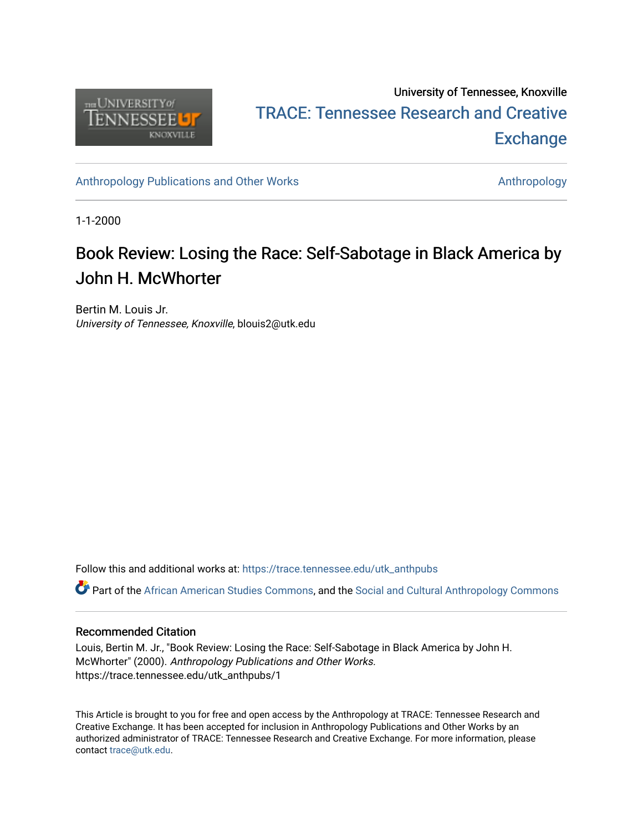

## University of Tennessee, Knoxville TRACE: T[ennessee Research and Cr](https://trace.tennessee.edu/)eative **Exchange**

[Anthropology Publications and Other Works](https://trace.tennessee.edu/utk_anthpubs) **Anthropology** Anthropology

1-1-2000

# Book Review: Losing the Race: Self-Sabotage in Black America by John H. McWhorter

Bertin M. Louis Jr. University of Tennessee, Knoxville, blouis2@utk.edu

Follow this and additional works at: [https://trace.tennessee.edu/utk\\_anthpubs](https://trace.tennessee.edu/utk_anthpubs?utm_source=trace.tennessee.edu%2Futk_anthpubs%2F1&utm_medium=PDF&utm_campaign=PDFCoverPages)

Part of the [African American Studies Commons,](https://network.bepress.com/hgg/discipline/567?utm_source=trace.tennessee.edu%2Futk_anthpubs%2F1&utm_medium=PDF&utm_campaign=PDFCoverPages) and the [Social and Cultural Anthropology Commons](https://network.bepress.com/hgg/discipline/323?utm_source=trace.tennessee.edu%2Futk_anthpubs%2F1&utm_medium=PDF&utm_campaign=PDFCoverPages)

### Recommended Citation

Louis, Bertin M. Jr., "Book Review: Losing the Race: Self-Sabotage in Black America by John H. McWhorter" (2000). Anthropology Publications and Other Works. https://trace.tennessee.edu/utk\_anthpubs/1

This Article is brought to you for free and open access by the Anthropology at TRACE: Tennessee Research and Creative Exchange. It has been accepted for inclusion in Anthropology Publications and Other Works by an authorized administrator of TRACE: Tennessee Research and Creative Exchange. For more information, please contact [trace@utk.edu](mailto:trace@utk.edu).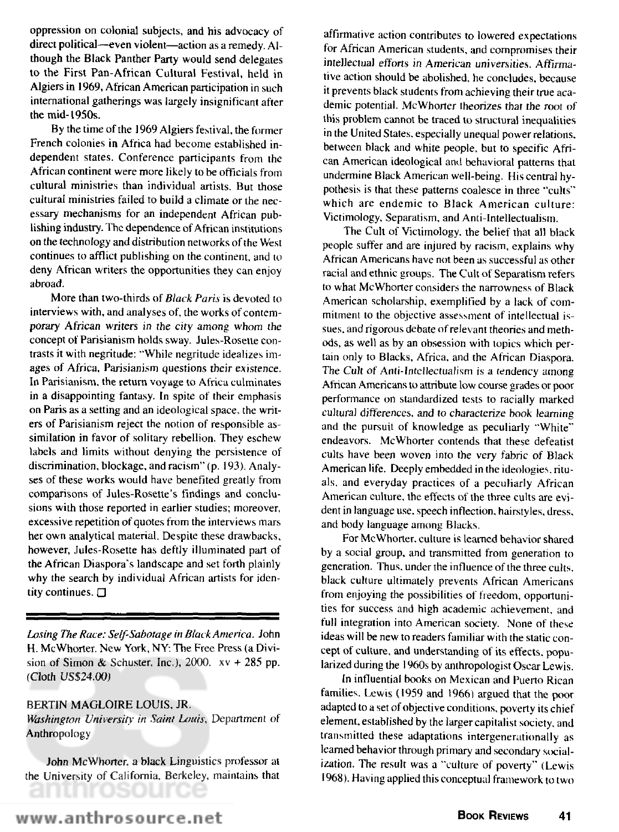oppression on colonial subjects, and his advocacy of direct political—even violent—action as a remedy. Although the Black Panther Party would send delegates to the First Pan-African Cultural Festival, held in Algiers in 1969, African American participation in such international gatherings was largely insignificant after the mid-1950s.

By the time of the 1969 Algiers festival, the former French colonies in Africa had become established independent states. Conference participants from the African continent were more likely to be officials from cultural ministries than individual artists. But those cultural ministries failed to build a climate or the necessary mechanisms for an independent African publishing industry. The dependence of African institutions on the technology and distribution networks of the West continues to afflict publishing on the continent, and to deny African writers the opportunities they can enjoy abroad.

More than two-thirds of *Black Paris* is devoted to interviews with, and analyses of, the works of contemporary African writers in the city among whom the concept of Parisianism holds sway. Jules-Rosette contrasts it with negritude: "While negritude idealizes images of Africa, Parisianism questions their existence. In Parisianism, the return voyage to Africa culminates in a disappointing fantasy. In spite of their emphasis on Paris as a setting and an ideological space, the writers of Parisianism reject the notion of responsible assimilation in favor of solitary rebellion. They eschew labels and limits without denying the persistence of discrimination, blockage, and racism" (p. 193). Analyses of these works would have benefited greatly from comparisons of Jules-Rosette's findings and conclusions with those reported in earlier studies; moreover, excessive repetition of quotes from the interviews mars her own analytical material. Despite these drawbacks, however, Jules-Rosette has deftly illuminated part of the African Diaspora's landscape and set forth plainly why the search by individual African artists for identity continues. Q

*Losing The Race: Self-Sabotage in Black America.* John H. McWhorter. New York, NY: The Free Press (a Division of Simon & Schuster, Inc.),  $2000$ .  $xy + 285$  pp. (Cloth US\$24.00)

#### BERTIN MAGLOIRE LOUIS, JR.

*Washington University in Saint Louis,* Department of Anthropology

John McWhorter. a black Linguistics professor at the University of California, Berkeley, maintains that EOLITO

affirmative action contributes to lowered expectations for African American students, and compromises their intellectual efforts in American universities. Affirmative action should be abolished, he concludes, because it prevents black students from achieving their true academic potential. McWhorter theorizes that the root of this problem cannot be traced to structural inequalities in the United States, especially unequal power relations, between black and white people, but to specific African American ideological and behavioral patterns that undermine Black American well-being. His central hypothesis is that these patterns coalesce in three "cults" which are endemic to Black American culture: Victimology, Separatism, and Anti-Intellectualism.

The Cult of Victimology. the belief that all black people suffer and are injured by racism, explains why African Americans have not been as successful as other racial and ethnic groups. The Cult of Separatism refers to what McWhorter considers the narrowness of Black American scholarship, exemplified by a lack of commitment to the objective assessment of intellectual issues, and rigorous debate of relevant theories and methods, as well as by an obsession with topics which pertain only to Blacks, Africa, and the African Diaspora. The Cult of Anti-lntcllectualism is a tendency among African Americans to attribute low course grades or poor performance on standardized tests to racially marked cultural differences, and to characterize book learning and the pursuit of knowledge as peculiarly "White" endeavors. McWhorter contends that these defeatist cults have been woven into the very fabric of Black American life. Deeply embedded in the ideologies, rituals, and everyday practices of a peculiarly African American culture, the effects of the three cults are evident in language use. speech inflection, hairstyles, dress, and body language among Blacks.

For McWhorter. culture is learned behavior shared by a social group, and transmitted from generation to generation. Thus, under the influence of the three cults, black culture ultimately prevents African Americans from enjoying the possibilities of freedom, opportunities for success and high academic achievement, and full integration into American society. None of these ideas will be new to readers familiar with the static concept of culture, and understanding of its effects, popularized during the 1960s by anthropologist Oscar Lewis.

In influential books on Mexican and Puerto Rican families. Lewis (1959 and 1966) argued that the poor adapted to a set of objective conditions, poverty its chief element, established by the larger capitalist society, and transmitted these adaptations intergenerationally as learned behavior through primary and secondary socialization. The result was a "culture of poverty" (Lewis 1968). Having applied this conceptual framework to two